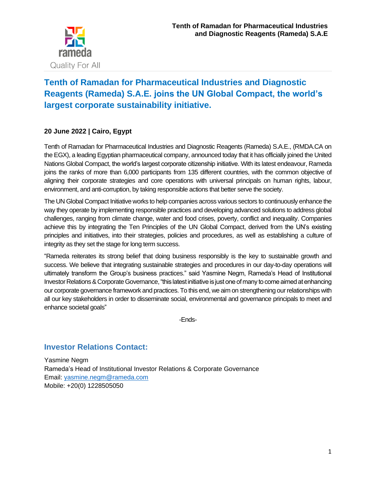

# **Tenth of Ramadan for Pharmaceutical Industries and Diagnostic Reagents (Rameda) S.A.E. joins the UN Global Compact, the world's largest corporate sustainability initiative.**

## **20 June 2022 | Cairo, Egypt**

Tenth of Ramadan for Pharmaceutical Industries and Diagnostic Reagents (Rameda) S.A.E., (RMDA.CA on the EGX), a leading Egyptian pharmaceutical company, announced today that it has officially joined the United Nations Global Compact, the world's largest corporate citizenship initiative. With its latest endeavour, Rameda joins the ranks of more than 6,000 participants from 135 different countries, with the common objective of aligning their corporate strategies and core operations with universal principals on human rights, labour, environment, and anti-corruption, by taking responsible actions that better serve the society.

The UN Global Compact Initiative works to help companies across various sectors to continuously enhance the way they operate by implementing responsible practices and developing advanced solutions to address global challenges, ranging from climate change, water and food crises, poverty, conflict and inequality. Companies achieve this by integrating the Ten Principles of the UN Global Compact, derived from the UN's existing principles and initiatives, into their strategies, policies and procedures, as well as establishing a culture of integrity as they set the stage for long term success.

"Rameda reiterates its strong belief that doing business responsibly is the key to sustainable growth and success. We believe that integrating sustainable strategies and procedures in our day-to-day operations will ultimately transform the Group's business practices." said Yasmine Negm, Rameda's Head of Institutional Investor Relations & Corporate Governance, "this latest initiative is just one of many to come aimed at enhancing our corporate governance framework and practices. To this end, we aim on strengthening our relationships with all our key stakeholders in order to disseminate social, environmental and governance principals to meet and enhance societal goals"

-Ends-

## **Investor Relations Contact:**

Yasmine Negm Rameda's Head of Institutional Investor Relations & Corporate Governance Email: [yasmine.negm@rameda.com](mailto:yasmine.negm@rameda.com) Mobile: +20(0) 1228505050